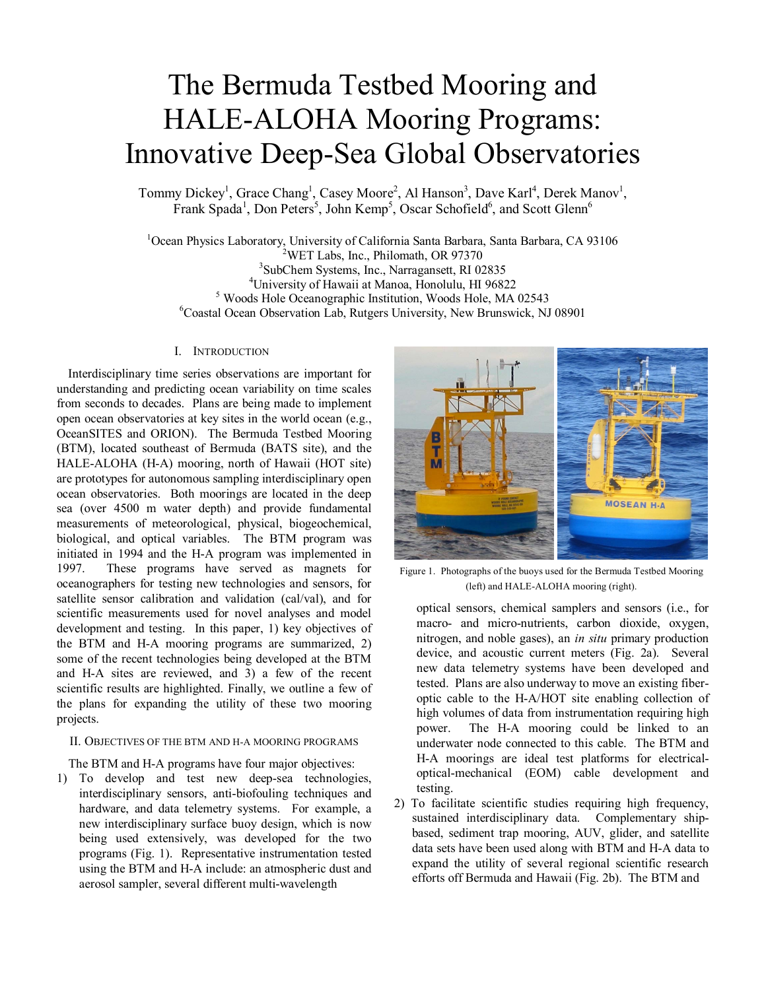# The Bermuda Testbed Mooring and HALE-ALOHA Mooring Programs: Innovative Deep-Sea Global Observatories

Tommy Dickey<sup>1</sup>, Grace Chang<sup>1</sup>, Casey Moore<sup>2</sup>, Al Hanson<sup>3</sup>, Dave Karl<sup>4</sup>, Derek Manov<sup>1</sup>, Frank Spada<sup>1</sup>, Don Peters<sup>5</sup>, John Kemp<sup>5</sup>, Oscar Schofield<sup>6</sup>, and Scott Glenn<sup>6</sup>

<sup>1</sup>Ocean Physics Laboratory, University of California Santa Barbara, Santa Barbara, CA 93106  $2$ WET Labs, Inc., Philomath, OR 97370 <sup>3</sup>SubChem Systems, Inc., Narragansett, RI 02835 <sup>4</sup>University of Hawaii at Manoa, Honolulu, HI 96822 <sup>5</sup> Woods Hole Oceanographic Institution, Woods Hole, MA 02543 Coastal Ocean Observation Lab, Rutgers University, New Brunswick, NJ 08901

# I. INTRODUCTION

Interdisciplinary time series observations are important for understanding and predicting ocean variability on time scales from seconds to decades. Plans are being made to implement open ocean observatories at key sites in the world ocean (e.g., OceanSITES and ORION). The Bermuda Testbed Mooring (BTM), located southeast of Bermuda (BATS site), and the HALE-ALOHA (H-A) mooring, north of Hawaii (HOT site) are prototypes for autonomous sampling interdisciplinary open ocean observatories. Both moorings are located in the deep sea (over 4500 m water depth) and provide fundamental measurements of meteorological, physical, biogeochemical, biological, and optical variables. The BTM program was initiated in 1994 and the H-A program was implemented in 1997. These programs have served as magnets for oceanographers for testing new technologies and sensors, for satellite sensor calibration and validation (cal/val), and for scientific measurements used for novel analyses and model development and testing. In this paper, 1) key objectives of the BTM and H-A mooring programs are summarized, 2) some of the recent technologies being developed at the BTM and H-A sites are reviewed, and 3) a few of the recent scientific results are highlighted. Finally, we outline a few of the plans for expanding the utility of these two mooring projects.

### II. OBJECTIVES OF THE BTM AND H-A MOORING PROGRAMS

The BTM and H-A programs have four major objectives:

1) To develop and test new deep-sea technologies, interdisciplinary sensors, anti-biofouling techniques and hardware, and data telemetry systems. For example, a new interdisciplinary surface buoy design, which is now being used extensively, was developed for the two programs (Fig. 1). Representative instrumentation tested using the BTM and H-A include: an atmospheric dust and aerosol sampler, several different multi-wavelength



Figure 1. Photographs of the buoys used for the Bermuda Testbed Mooring (left) and HALE-ALOHA mooring (right).

- optical sensors, chemical samplers and sensors (i.e., for macro- and micro-nutrients, carbon dioxide, oxygen, nitrogen, and noble gases), an *in situ* primary production device, and acoustic current meters (Fig. 2a). Several new data telemetry systems have been developed and tested. Plans are also underway to move an existing fiberoptic cable to the H-A/HOT site enabling collection of high volumes of data from instrumentation requiring high power. The H-A mooring could be linked to an underwater node connected to this cable. The BTM and H-A moorings are ideal test platforms for electricaloptical-mechanical (EOM) cable development and testing.
- 2) To facilitate scientific studies requiring high frequency, sustained interdisciplinary data. Complementary shipbased, sediment trap mooring, AUV, glider, and satellite data sets have been used along with BTM and H-A data to expand the utility of several regional scientific research efforts off Bermuda and Hawaii (Fig. 2b). The BTM and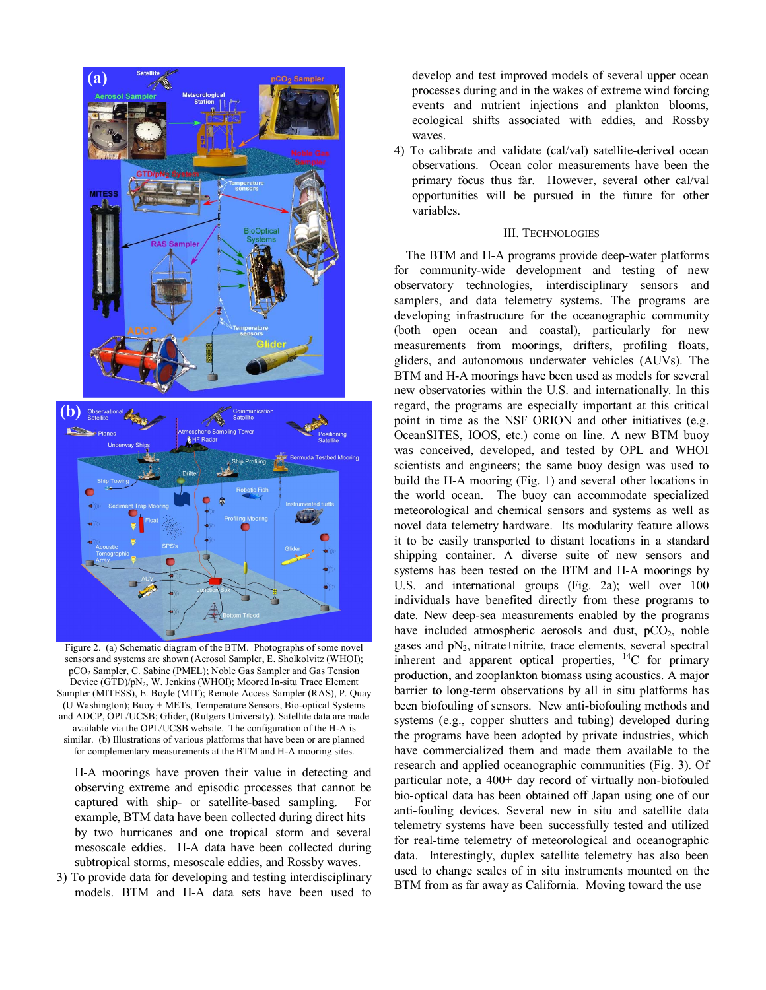

Figure 2. (a) Schematic diagram of the BTM. Photographs of some novel sensors and systems are shown (Aerosol Sampler, E. Sholkolvitz (WHOI); pCO2 Sampler, C. Sabine (PMEL); Noble Gas Sampler and Gas Tension Device (GTD)/pN<sub>2</sub>, W. Jenkins (WHOI); Moored In-situ Trace Element Sampler (MITESS), E. Boyle (MIT); Remote Access Sampler (RAS), P. Quay (U Washington); Buoy + METs, Temperature Sensors, Bio-optical Systems and ADCP, OPL/UCSB; Glider, (Rutgers University). Satellite data are made available via the OPL/UCSB website. The configuration of the H-A is similar. (b) Illustrations of various platforms that have been or are planned for complementary measurements at the BTM and H-A mooring sites.

H-A moorings have proven their value in detecting and observing extreme and episodic processes that cannot be captured with ship- or satellite-based sampling. For example, BTM data have been collected during direct hits by two hurricanes and one tropical storm and several mesoscale eddies. H-A data have been collected during subtropical storms, mesoscale eddies, and Rossby waves.

3) To provide data for developing and testing interdisciplinary models. BTM and H-A data sets have been used to develop and test improved models of several upper ocean processes during and in the wakes of extreme wind forcing events and nutrient injections and plankton blooms, ecological shifts associated with eddies, and Rossby waves.

4) To calibrate and validate (cal/val) satellite-derived ocean observations. Ocean color measurements have been the primary focus thus far. However, several other cal/val opportunities will be pursued in the future for other variables.

#### III. TECHNOLOGIES

The BTM and H-A programs provide deep-water platforms for community-wide development and testing of new observatory technologies, interdisciplinary sensors and samplers, and data telemetry systems. The programs are developing infrastructure for the oceanographic community (both open ocean and coastal), particularly for new measurements from moorings, drifters, profiling floats, gliders, and autonomous underwater vehicles (AUVs). The BTM and H-A moorings have been used as models for several new observatories within the U.S. and internationally. In this regard, the programs are especially important at this critical point in time as the NSF ORION and other initiatives (e.g. OceanSITES, IOOS, etc.) come on line. A new BTM buoy was conceived, developed, and tested by OPL and WHOI scientists and engineers; the same buoy design was used to build the H-A mooring (Fig. 1) and several other locations in the world ocean. The buoy can accommodate specialized meteorological and chemical sensors and systems as well as novel data telemetry hardware. Its modularity feature allows it to be easily transported to distant locations in a standard shipping container. A diverse suite of new sensors and systems has been tested on the BTM and H-A moorings by U.S. and international groups (Fig. 2a); well over 100 individuals have benefited directly from these programs to date. New deep-sea measurements enabled by the programs have included atmospheric aerosols and dust,  $pCO<sub>2</sub>$ , noble gases and  $pN_2$ , nitrate+nitrite, trace elements, several spectral inherent and apparent optical properties,  $^{14}$ C for primary production, and zooplankton biomass using acoustics. A major barrier to long-term observations by all in situ platforms has been biofouling of sensors. New anti-biofouling methods and systems (e.g., copper shutters and tubing) developed during the programs have been adopted by private industries, which have commercialized them and made them available to the research and applied oceanographic communities (Fig. 3). Of particular note, a 400+ day record of virtually non-biofouled bio-optical data has been obtained off Japan using one of our anti-fouling devices. Several new in situ and satellite data telemetry systems have been successfully tested and utilized for real-time telemetry of meteorological and oceanographic data. Interestingly, duplex satellite telemetry has also been used to change scales of in situ instruments mounted on the BTM from as far away as California. Moving toward the use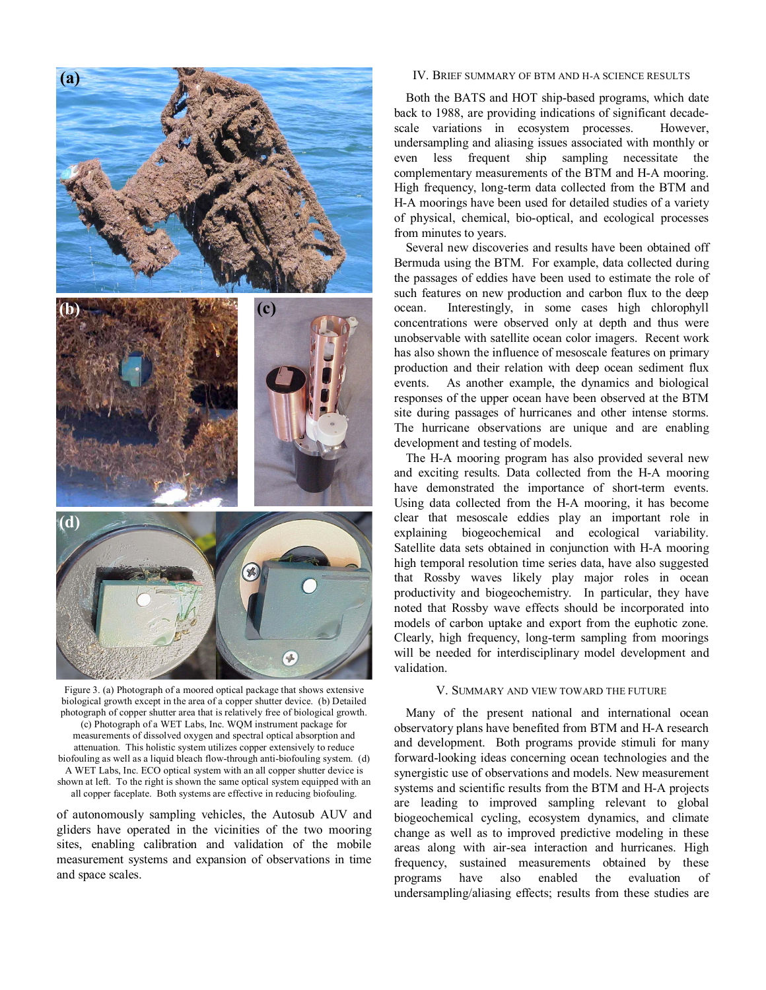

Figure 3. (a) Photograph of a moored optical package that shows extensive biological growth except in the area of a copper shutter device. (b) Detailed photograph of copper shutter area that is relatively free of biological growth. (c) Photograph of a WET Labs, Inc. WQM instrument package for measurements of dissolved oxygen and spectral optical absorption and attenuation. This holistic system utilizes copper extensively to reduce biofouling as well as a liquid bleach flow-through anti-biofouling system. (d) A WET Labs, Inc. ECO optical system with an all copper shutter device is shown at left. To the right is shown the same optical system equipped with an all copper faceplate. Both systems are effective in reducing biofouling.

of autonomously sampling vehicles, the Autosub AUV and gliders have operated in the vicinities of the two mooring sites, enabling calibration and validation of the mobile measurement systems and expansion of observations in time and space scales.

# IV. BRIEF SUMMARY OF BTM AND H-A SCIENCE RESULTS

Both the BATS and HOT ship-based programs, which date back to 1988, are providing indications of significant decadescale variations in ecosystem processes. However, undersampling and aliasing issues associated with monthly or even less frequent ship sampling necessitate the complementary measurements of the BTM and H-A mooring. High frequency, long-term data collected from the BTM and H-A moorings have been used for detailed studies of a variety of physical, chemical, bio-optical, and ecological processes from minutes to years.

Several new discoveries and results have been obtained off Bermuda using the BTM. For example, data collected during the passages of eddies have been used to estimate the role of such features on new production and carbon flux to the deep ocean. Interestingly, in some cases high chlorophyll concentrations were observed only at depth and thus were unobservable with satellite ocean color imagers. Recent work has also shown the influence of mesoscale features on primary production and their relation with deep ocean sediment flux events. As another example, the dynamics and biological responses of the upper ocean have been observed at the BTM site during passages of hurricanes and other intense storms. The hurricane observations are unique and are enabling development and testing of models.

The H-A mooring program has also provided several new and exciting results. Data collected from the H-A mooring have demonstrated the importance of short-term events. Using data collected from the H-A mooring, it has become clear that mesoscale eddies play an important role in explaining biogeochemical and ecological variability. Satellite data sets obtained in conjunction with H-A mooring high temporal resolution time series data, have also suggested that Rossby waves likely play major roles in ocean productivity and biogeochemistry. In particular, they have noted that Rossby wave effects should be incorporated into models of carbon uptake and export from the euphotic zone. Clearly, high frequency, long-term sampling from moorings will be needed for interdisciplinary model development and validation.

# V. SUMMARY AND VIEW TOWARD THE FUTURE

Many of the present national and international ocean observatory plans have benefited from BTM and H-A research and development. Both programs provide stimuli for many forward-looking ideas concerning ocean technologies and the synergistic use of observations and models. New measurement systems and scientific results from the BTM and H-A projects are leading to improved sampling relevant to global biogeochemical cycling, ecosystem dynamics, and climate change as well as to improved predictive modeling in these areas along with air-sea interaction and hurricanes. High frequency, sustained measurements obtained by these programs have also enabled the evaluation of undersampling/aliasing effects; results from these studies are